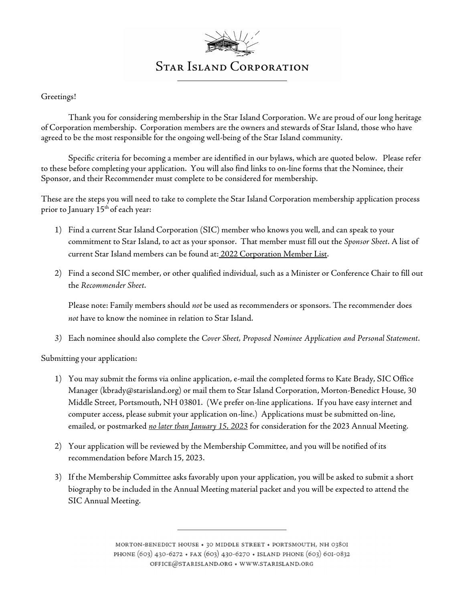

#### Greetings!

Thank you for considering membership in the Star Island Corporation. We are proud of our long heritage of Corporation membership. Corporation members are the owners and stewards of Star Island, those who have agreed to be the most responsible for the ongoing well-being of the Star Island community.

Specific criteria for becoming a member are identified in our bylaws, which are quoted below. Please refer to these before completing your application. You will also find links to on-line forms that the Nominee, their Sponsor, and their Recommender must complete to be considered for membership.

These are the steps you will need to take to complete the Star Island Corporation membership application process prior to January 15<sup>th</sup> of each year:

- 1) Find a current Star Island Corporation (SIC) member who knows you well, and can speak to your commitment to Star Island, to act as your sponsor. That member must fill out the Sponsor Sheet. A list of current Star Island members can be found at: 2022 Corporation Member List.
- 2) Find a second SIC member, or other qualified individual, such as a Minister or Conference Chair to fill out the Recommender Sheet.

Please note: Family members should not be used as recommenders or sponsors. The recommender does not have to know the nominee in relation to Star Island.

3) Each nominee should also complete the Cover Sheet, Proposed Nominee Application and Personal Statement.

Submitting your application:

- 1) You may submit the forms via online application, e-mail the completed forms to Kate Brady, SIC Office Manager (kbrady@starisland.org) or mail them to Star Island Corporation, Morton-Benedict House, 30 Middle Street, Portsmouth, NH 03801. (We prefer on-line applications. If you have easy internet and computer access, please submit your application on-line.) Applications must be submitted on-line, emailed, or postmarked no later than January 15, 2023 for consideration for the 2023 Annual Meeting.
- 2) Your application will be reviewed by the Membership Committee, and you will be notified of its recommendation before March 15, 2023.
- 3) If the Membership Committee asks favorably upon your application, you will be asked to submit a short biography to be included in the Annual Meeting material packet and you will be expected to attend the SIC Annual Meeting.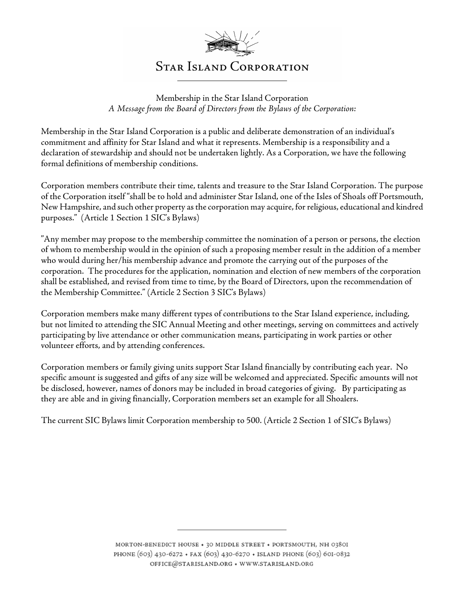

Membership in the Star Island Corporation A Message from the Board of Directors from the Bylaws of the Corporation:

Membership in the Star Island Corporation is a public and deliberate demonstration of an individual's commitment and affinity for Star Island and what it represents. Membership is a responsibility and a declaration of stewardship and should not be undertaken lightly. As a Corporation, we have the following formal definitions of membership conditions.

Corporation members contribute their time, talents and treasure to the Star Island Corporation. The purpose of the Corporation itself "shall be to hold and administer Star Island, one of the Isles of Shoals off Portsmouth, New Hampshire, and such other property as the corporation may acquire, for religious, educational and kindred purposes." (Article 1 Section 1 SIC's Bylaws)

"Any member may propose to the membership committee the nomination of a person or persons, the election of whom to membership would in the opinion of such a proposing member result in the addition of a member who would during her/his membership advance and promote the carrying out of the purposes of the corporation. The procedures for the application, nomination and election of new members of the corporation shall be established, and revised from time to time, by the Board of Directors, upon the recommendation of the Membership Committee." (Article 2 Section 3 SIC's Bylaws)

Corporation members make many different types of contributions to the Star Island experience, including, but not limited to attending the SIC Annual Meeting and other meetings, serving on committees and actively participating by live attendance or other communication means, participating in work parties or other volunteer efforts, and by attending conferences.

Corporation members or family giving units support Star Island financially by contributing each year. No specific amount is suggested and gifts of any size will be welcomed and appreciated. Specific amounts will not be disclosed, however, names of donors may be included in broad categories of giving. By participating as they are able and in giving financially, Corporation members set an example for all Shoalers.

The current SIC Bylaws limit Corporation membership to 500. (Article 2 Section 1 of SIC's Bylaws)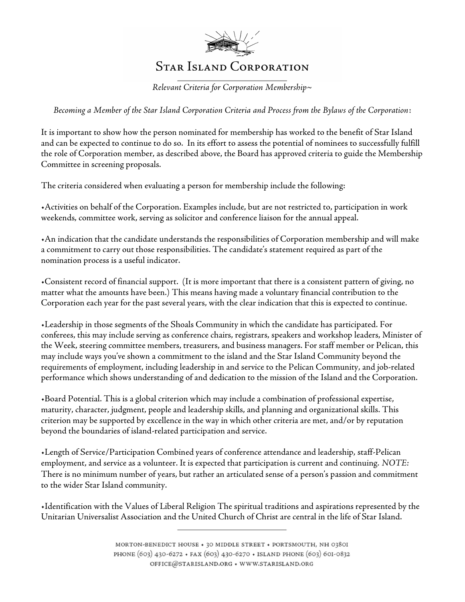

Relevant Criteria for Corporation Membership~

Becoming a Member of the Star Island Corporation Criteria and Process from the Bylaws of the Corporation:

It is important to show how the person nominated for membership has worked to the benefit of Star Island and can be expected to continue to do so. In its effort to assess the potential of nominees to successfully fulfill the role of Corporation member, as described above, the Board has approved criteria to guide the Membership Committee in screening proposals.

The criteria considered when evaluating a person for membership include the following:

•Activities on behalf of the Corporation. Examples include, but are not restricted to, participation in work weekends, committee work, serving as solicitor and conference liaison for the annual appeal.

•An indication that the candidate understands the responsibilities of Corporation membership and will make a commitment to carry out those responsibilities. The candidate's statement required as part of the nomination process is a useful indicator.

•Consistent record of financial support. (It is more important that there is a consistent pattern of giving, no matter what the amounts have been.) This means having made a voluntary financial contribution to the Corporation each year for the past several years, with the clear indication that this is expected to continue.

•Leadership in those segments of the Shoals Community in which the candidate has participated. For conferees, this may include serving as conference chairs, registrars, speakers and workshop leaders, Minister of the Week, steering committee members, treasurers, and business managers. For staff member or Pelican, this may include ways you've shown a commitment to the island and the Star Island Community beyond the requirements of employment, including leadership in and service to the Pelican Community, and job-related performance which shows understanding of and dedication to the mission of the Island and the Corporation.

•Board Potential. This is a global criterion which may include a combination of professional expertise, maturity, character, judgment, people and leadership skills, and planning and organizational skills. This criterion may be supported by excellence in the way in which other criteria are met, and/or by reputation beyond the boundaries of island-related participation and service.

•Length of Service/Participation Combined years of conference attendance and leadership, staff-Pelican employment, and service as a volunteer. It is expected that participation is current and continuing. NOTE: There is no minimum number of years, but rather an articulated sense of a person's passion and commitment to the wider Star Island community.

•Identification with the Values of Liberal Religion The spiritual traditions and aspirations represented by the Unitarian Universalist Association and the United Church of Christ are central in the life of Star Island.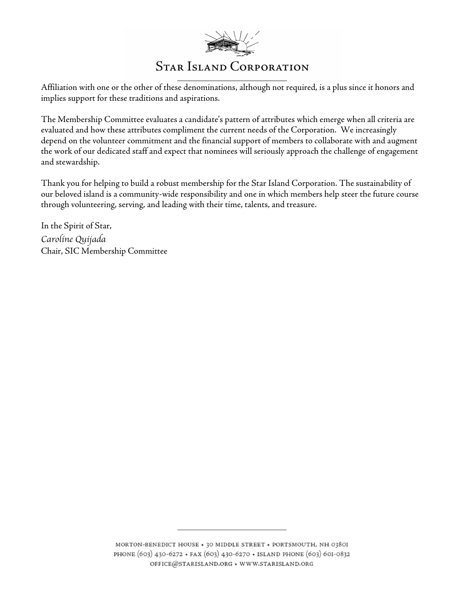

Affiliation with one or the other of these denominations, although not required, is a plus since it honors and implies support for these traditions and aspirations.

The Membership Committee evaluates a candidate's pattern of attributes which emerge when all criteria are evaluated and how these attributes compliment the current needs of the Corporation. We increasingly depend on the volunteer commitment and the financial support of members to collaborate with and augment the work of our dedicated staff and expect that nominees will seriously approach the challenge of engagement and stewardship.

Thank you for helping to build a robust membership for the Star Island Corporation. The sustainability of our beloved island is a community-wide responsibility and one in which members help steer the future course through volunteering, serving, and leading with their time, talents, and treasure.

In the Spirit of Star, Caroline Quijada Chair, SIC Membership Committee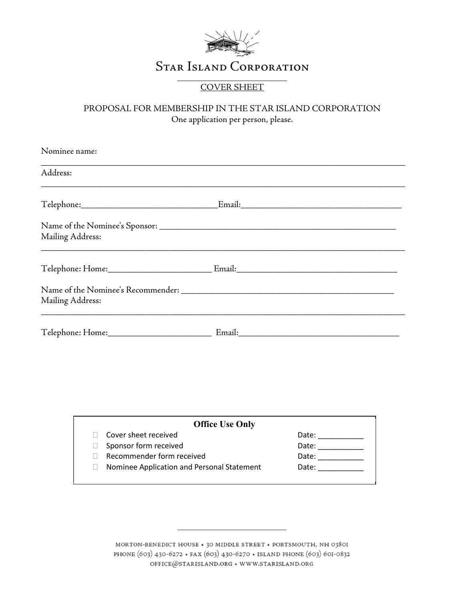

### COVER SHEET

#### PROPOSAL FOR MEMBERSHIP IN THE STAR ISLAND CORPORATION One application per person, please.

| Nominee name:    |  |
|------------------|--|
| Address:         |  |
|                  |  |
| Mailing Address: |  |
|                  |  |
| Mailing Address: |  |
|                  |  |

| <b>Office Use Only</b>                     |       |
|--------------------------------------------|-------|
| Cover sheet received                       | Date: |
| Sponsor form received                      | Date: |
| Recommender form received                  | Date: |
| Nominee Application and Personal Statement | Date: |

MORTON-BENEDICT HOUSE  $\star$  30 MIDDLE STREET  $\star$  PORTSMOUTH, NH 0380I PHONE (603) 430-6272 + FAX (603) 430-6270 + ISLAND PHONE (603) 60I-0832  $\mathtt{OFFICE} @ \mathtt{STARISLAND.ORG}\star$  WWW.STARISLAND.ORG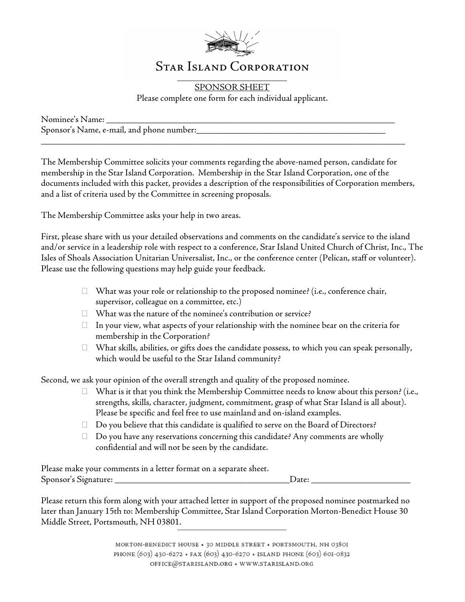

SPONSOR SHEET Please complete one form for each individual applicant.

Nominee's Name: \_\_\_\_\_\_\_\_\_\_\_\_\_\_\_\_\_\_\_\_\_\_\_\_\_\_\_\_\_\_\_\_\_\_\_\_\_\_\_\_\_\_\_\_\_\_\_\_\_\_\_\_\_\_\_\_\_\_\_\_\_ Sponsor's Name, e-mail, and phone number:

The Membership Committee solicits your comments regarding the above-named person, candidate for membership in the Star Island Corporation. Membership in the Star Island Corporation, one of the documents included with this packet, provides a description of the responsibilities of Corporation members, and a list of criteria used by the Committee in screening proposals.

\_\_\_\_\_\_\_\_\_\_\_\_\_\_\_\_\_\_\_\_\_\_\_\_\_\_\_\_\_\_\_\_\_\_\_\_\_\_\_\_\_\_\_\_\_\_\_\_\_\_\_\_\_\_\_\_\_\_\_\_\_\_\_\_\_\_\_\_\_\_\_\_\_\_\_\_\_

The Membership Committee asks your help in two areas.

First, please share with us your detailed observations and comments on the candidate's service to the island and/or service in a leadership role with respect to a conference, Star Island United Church of Christ, Inc., The Isles of Shoals Association Unitarian Universalist, Inc., or the conference center (Pelican, staff or volunteer). Please use the following questions may help guide your feedback.

- $\Box$  What was your role or relationship to the proposed nominee? (i.e., conference chair, supervisor, colleague on a committee, etc.)
- What was the nature of the nominee's contribution or service?
- $\Box$  In your view, what aspects of your relationship with the nominee bear on the criteria for membership in the Corporation?
- $\Box$  What skills, abilities, or gifts does the candidate possess, to which you can speak personally, which would be useful to the Star Island community?

Second, we ask your opinion of the overall strength and quality of the proposed nominee.

- $\Box$  What is it that you think the Membership Committee needs to know about this person? (i.e., strengths, skills, character, judgment, commitment, grasp of what Star Island is all about). Please be specific and feel free to use mainland and on-island examples.
- $\Box$  Do you believe that this candidate is qualified to serve on the Board of Directors?
- $\Box$  Do you have any reservations concerning this candidate? Any comments are wholly confidential and will not be seen by the candidate.

Please make your comments in a letter format on a separate sheet. Sponsor's Signature: \_\_\_\_\_\_\_\_\_\_\_\_\_\_\_\_\_\_\_\_\_\_\_\_\_\_\_\_\_\_\_\_\_\_\_\_\_Date: \_\_\_\_\_\_\_\_\_\_\_\_\_\_\_\_\_\_\_\_\_

Please return this form along with your attached letter in support of the proposed nominee postmarked no later than January 15th to: Membership Committee, Star Island Corporation Morton-Benedict House 30 Middle Street, Portsmouth, NH 03801.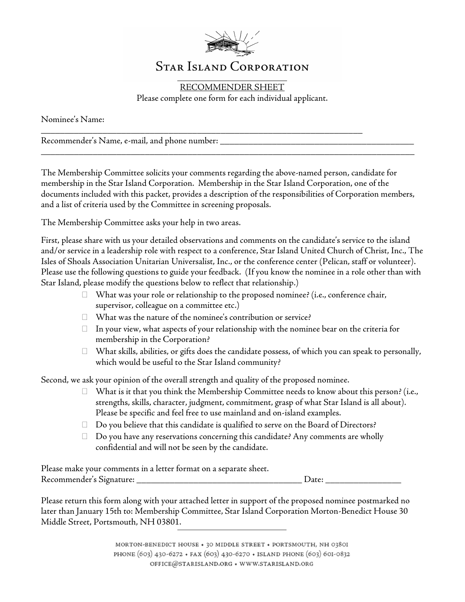

RECOMMENDER SHEET Please complete one form for each individual applicant.

\_\_\_\_\_\_\_\_\_\_\_\_\_\_\_\_\_\_\_\_\_\_\_\_\_\_\_\_\_\_\_\_\_\_\_\_\_\_\_\_\_\_\_\_\_\_\_\_\_\_\_\_\_\_\_\_\_\_\_\_\_\_\_\_\_\_\_\_

Nominee's Name:

Recommender's Name, e-mail, and phone number: \_\_\_\_\_\_\_\_\_\_\_\_\_\_\_\_\_\_\_\_\_\_\_\_\_\_\_\_\_\_\_\_\_\_\_

The Membership Committee solicits your comments regarding the above-named person, candidate for membership in the Star Island Corporation. Membership in the Star Island Corporation, one of the documents included with this packet, provides a description of the responsibilities of Corporation members, and a list of criteria used by the Committee in screening proposals.

\_\_\_\_\_\_\_\_\_\_\_\_\_\_\_\_\_\_\_\_\_\_\_\_\_\_\_\_\_\_\_\_\_\_\_\_\_\_\_\_\_\_\_\_\_\_\_\_\_\_\_\_\_\_\_\_\_\_\_\_\_\_\_\_\_\_\_\_\_\_\_\_\_\_\_\_\_\_\_

The Membership Committee asks your help in two areas.

First, please share with us your detailed observations and comments on the candidate's service to the island and/or service in a leadership role with respect to a conference, Star Island United Church of Christ, Inc., The Isles of Shoals Association Unitarian Universalist, Inc., or the conference center (Pelican, staff or volunteer). Please use the following questions to guide your feedback. (If you know the nominee in a role other than with Star Island, please modify the questions below to reflect that relationship.)

- $\Box$  What was your role or relationship to the proposed nominee? (i.e., conference chair, supervisor, colleague on a committee etc.)
- $\Box$  What was the nature of the nominee's contribution or service?
- $\Box$  In your view, what aspects of your relationship with the nominee bear on the criteria for membership in the Corporation?
- $\Box$  What skills, abilities, or gifts does the candidate possess, of which you can speak to personally, which would be useful to the Star Island community?

Second, we ask your opinion of the overall strength and quality of the proposed nominee.

- $\Box$  What is it that you think the Membership Committee needs to know about this person? (i.e., strengths, skills, character, judgment, commitment, grasp of what Star Island is all about). Please be specific and feel free to use mainland and on-island examples.
- $\Box$  Do you believe that this candidate is qualified to serve on the Board of Directors?
- $\Box$  Do you have any reservations concerning this candidate? Any comments are wholly confidential and will not be seen by the candidate.

Please make your comments in a letter format on a separate sheet. Recommender's Signature: \_\_\_\_\_\_\_\_\_\_\_\_\_\_\_\_\_\_\_\_\_\_\_\_\_\_\_\_\_\_\_\_\_\_\_ Date: \_\_\_\_\_\_\_\_\_\_\_\_\_\_\_\_

Please return this form along with your attached letter in support of the proposed nominee postmarked no later than January 15th to: Membership Committee, Star Island Corporation Morton-Benedict House 30 Middle Street, Portsmouth, NH 03801.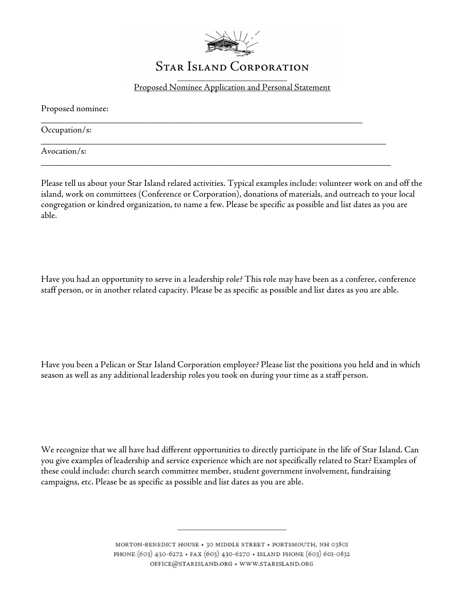

Proposed Nominee Application and Personal Statement

\_\_\_\_\_\_\_\_\_\_\_\_\_\_\_\_\_\_\_\_\_\_\_\_\_\_\_\_\_\_\_\_\_\_\_\_\_\_\_\_\_\_\_\_\_\_\_\_\_\_\_\_\_\_\_\_\_\_\_\_\_\_\_\_\_\_\_\_

\_\_\_\_\_\_\_\_\_\_\_\_\_\_\_\_\_\_\_\_\_\_\_\_\_\_\_\_\_\_\_\_\_\_\_\_\_\_\_\_\_\_\_\_\_\_\_\_\_\_\_\_\_\_\_\_\_\_\_\_\_\_\_\_\_\_\_\_\_\_\_\_\_

\_\_\_\_\_\_\_\_\_\_\_\_\_\_\_\_\_\_\_\_\_\_\_\_\_\_\_\_\_\_\_\_\_\_\_\_\_\_\_\_\_\_\_\_\_\_\_\_\_\_\_\_\_\_\_\_\_\_\_\_\_\_\_\_\_\_\_\_\_\_\_\_\_\_

Proposed nominee:

Occupation/s:

Avocation/s:

Please tell us about your Star Island related activities. Typical examples include: volunteer work on and off the island, work on committees (Conference or Corporation), donations of materials, and outreach to your local congregation or kindred organization, to name a few. Please be specific as possible and list dates as you are able.

Have you had an opportunity to serve in a leadership role? This role may have been as a conferee, conference staff person, or in another related capacity. Please be as specific as possible and list dates as you are able.

Have you been a Pelican or Star Island Corporation employee? Please list the positions you held and in which season as well as any additional leadership roles you took on during your time as a staff person.

We recognize that we all have had different opportunities to directly participate in the life of Star Island. Can you give examples of leadership and service experience which are not specifically related to Star? Examples of these could include: church search committee member, student government involvement, fundraising campaigns, etc. Please be as specific as possible and list dates as you are able.